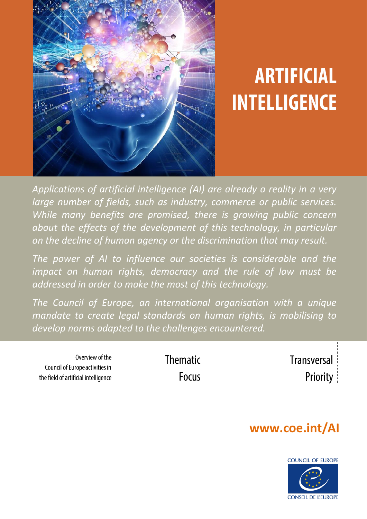

# **ARTIFICIAL INTELLIGENCE**

*Applications of artificial intelligence (AI) are already a reality in a very large number of fields, such as industry, commerce or public services. While many benefits are promised, there is growing public concern about the effects of the development of this technology, in particular on the decline of human agency or the discrimination that may result.*

*The power of AI to influence our societies is considerable and the*  impact on human rights, democracy and the rule of law must be *addressed in order to make the most of this technology.* 

*The Council of Europe, an international organisation with a unique mandate to create legal standards on human rights, is mobilising to develop norms adapted to the challenges encountered.* 

| Overview of the                      | <b>Thematic</b> : | Transversal     |
|--------------------------------------|-------------------|-----------------|
| Council of Europe activities in \    |                   |                 |
| the field of artificial intelligence | Focus             | <b>Priority</b> |
|                                      |                   |                 |

# **www.coe.int/AI**